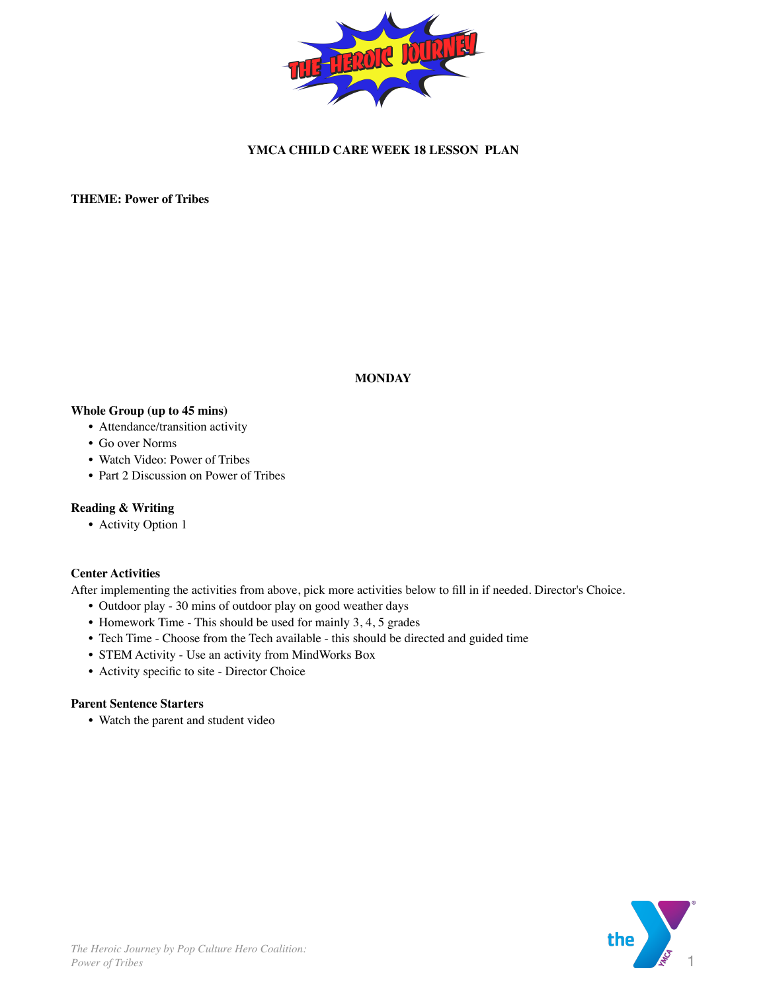

## **YMCA CHILD CARE WEEK 18 LESSON PLAN**

**THEME: Power of Tribes**

**MONDAY**

#### **Whole Group (up to 45 mins)**

- Attendance/transition activity
- Go over Norms
- Watch Video: Power of Tribes
- Part 2 Discussion on Power of Tribes

#### **Reading & Writing**

• Activity Option 1

#### **Center Activities**

After implementing the activities from above, pick more activities below to fill in if needed. Director's Choice.

- Outdoor play 30 mins of outdoor play on good weather days
- Homework Time This should be used for mainly 3, 4, 5 grades
- Tech Time Choose from the Tech available this should be directed and guided time
- STEM Activity Use an activity from MindWorks Box
- Activity specific to site Director Choice

#### **Parent Sentence Starters**

• Watch the parent and student video

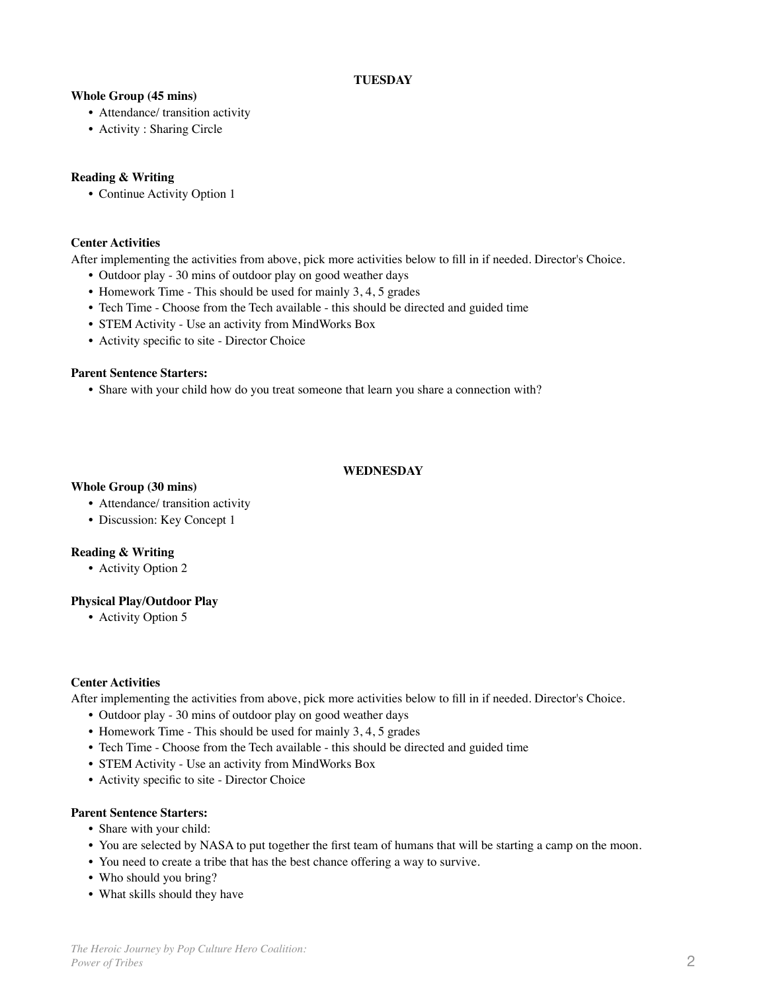# **TUESDAY**

### **Whole Group (45 mins)**

- Attendance/ transition activity
- Activity : Sharing Circle

### **Reading & Writing**

• Continue Activity Option 1

### **Center Activities**

After implementing the activities from above, pick more activities below to fill in if needed. Director's Choice.

- Outdoor play 30 mins of outdoor play on good weather days
- Homework Time This should be used for mainly 3, 4, 5 grades
- Tech Time Choose from the Tech available this should be directed and guided time
- STEM Activity Use an activity from MindWorks Box
- Activity specific to site Director Choice

## **Parent Sentence Starters:**

• Share with your child how do you treat someone that learn you share a connection with?

## **WEDNESDAY**

## **Whole Group (30 mins)**

- Attendance/ transition activity
- Discussion: Key Concept 1

### **Reading & Writing**

• Activity Option 2

# **Physical Play/Outdoor Play**

• Activity Option 5

### **Center Activities**

After implementing the activities from above, pick more activities below to fill in if needed. Director's Choice.

- Outdoor play 30 mins of outdoor play on good weather days
- Homework Time This should be used for mainly 3, 4, 5 grades
- Tech Time Choose from the Tech available this should be directed and guided time
- STEM Activity Use an activity from MindWorks Box
- Activity specific to site Director Choice

### **Parent Sentence Starters:**

- Share with your child:
- You are selected by NASA to put together the first team of humans that will be starting a camp on the moon.
- You need to create a tribe that has the best chance offering a way to survive.
- Who should you bring?
- What skills should they have